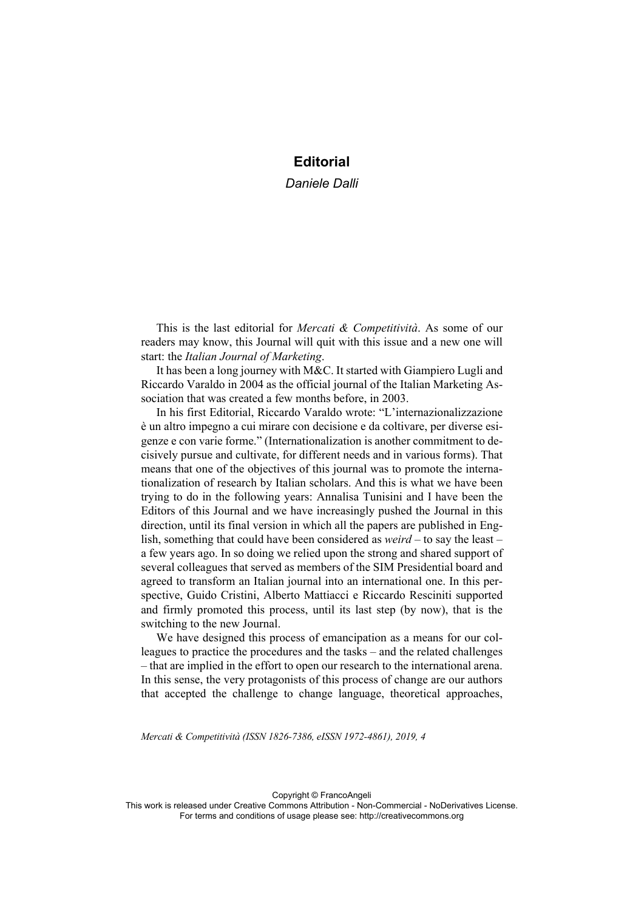## **Editorial**

*Daniele Dalli*

This is the last editorial for *Mercati & Competitività*. As some of our readers may know, this Journal will quit with this issue and a new one will start: the *Italian Journal of Marketing*.

It has been a long journey with M&C. It started with Giampiero Lugli and Riccardo Varaldo in 2004 as the official journal of the Italian Marketing Association that was created a few months before, in 2003.

In his first Editorial, Riccardo Varaldo wrote: "L'internazionalizzazione è un altro impegno a cui mirare con decisione e da coltivare, per diverse esigenze e con varie forme." (Internationalization is another commitment to decisively pursue and cultivate, for different needs and in various forms). That means that one of the objectives of this journal was to promote the internationalization of research by Italian scholars. And this is what we have been trying to do in the following years: Annalisa Tunisini and I have been the Editors of this Journal and we have increasingly pushed the Journal in this direction, until its final version in which all the papers are published in English, something that could have been considered as *weird* – to say the least – a few years ago. In so doing we relied upon the strong and shared support of several colleagues that served as members of the SIM Presidential board and agreed to transform an Italian journal into an international one. In this perspective, Guido Cristini, Alberto Mattiacci e Riccardo Resciniti supported and firmly promoted this process, until its last step (by now), that is the switching to the new Journal.

We have designed this process of emancipation as a means for our colleagues to practice the procedures and the tasks – and the related challenges – that are implied in the effort to open our research to the international arena. In this sense, the very protagonists of this process of change are our authors that accepted the challenge to change language, theoretical approaches,

*Mercati & Competitività (ISSN 1826-7386, eISSN 1972-4861), 2019, 4*

Copyright © FrancoAngeli

This work is released under Creative Commons Attribution - Non-Commercial - NoDerivatives License. For terms and conditions of usage please see: http://creativecommons.org